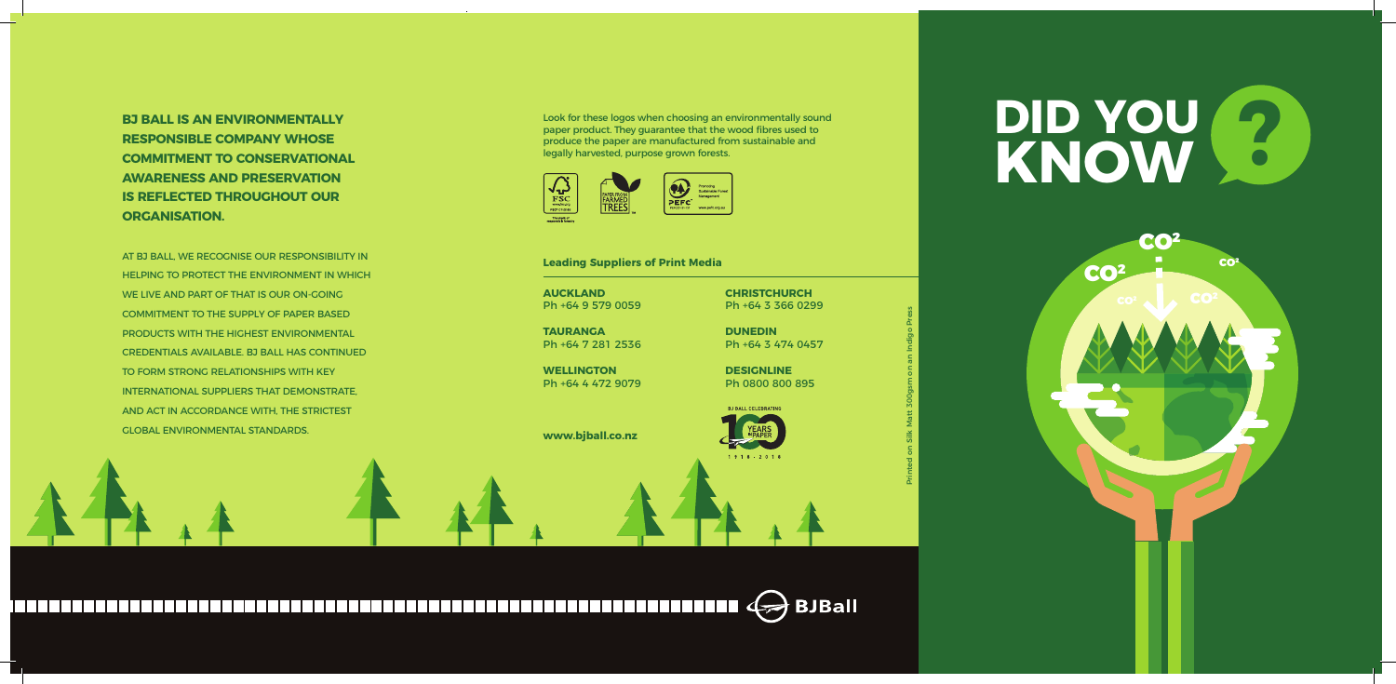



Ph +64 9 579 0059

**TAURANGA** Ph +64 7 281 2536

**WELLINGTON** Ph +64 4 472 9079

**www.bjball.co.nz**

**CHRISTCHURCH** Ph +64 3 366 0299

**DUNEDIN** Ph +64 3 474 0457

**DESIGNLINE** Ph 0800 800 895

**BJ BALL CELEBRATING** 

 $1918 - 2018$ 

**BJ BALL IS AN ENVIRONMENTALLY RESPONSIBLE COMPANY WHOSE COMMITMENT TO CONSERVATIONAL AWARENESS AND PRESERVATION IS REFLECTED THROUGHOUT OUR ORGANISATION.**

AT BJ BALL, WE RECOGNISE OUR RESPONSIBILITY IN HELPING TO PROTECT THE ENVIRONMENT IN WHICH WE LIVE AND PART OF THAT IS OUR ON-GOING COMMITMENT TO THE SUPPLY OF PAPER BASED PRODUCTS WITH THE HIGHEST ENVIRONMENTAL CREDENTIALS AVAILABLE. BJ BALL HAS CONTINUED TO FORM STRONG RELATIONSHIPS WITH KEY INTERNATIONAL SUPPLIERS THAT DEMONSTRATE, AND ACT IN ACCORDANCE WITH, THE STRICTEST GLOBAL ENVIRONMENTAL STANDARDS.

#### **Leading Suppliers of Print Media**

Look for these logos when choosing an environmentally sound paper product. They guarantee that the wood fibres used to produce the paper are manufactured from sustainable and legally harvested, purpose grown forests.



Printed on Silk Matt 300gsm on an Indigo Press